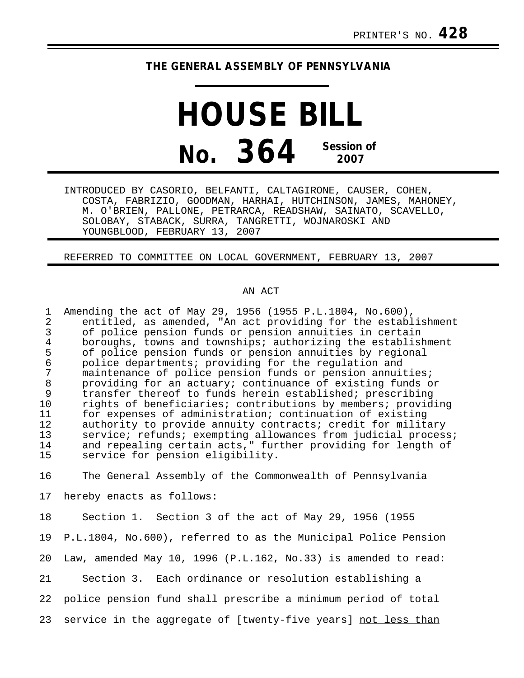## **THE GENERAL ASSEMBLY OF PENNSYLVANIA**

## **HOUSE BILL No. 364 Session of 2007**

INTRODUCED BY CASORIO, BELFANTI, CALTAGIRONE, CAUSER, COHEN, COSTA, FABRIZIO, GOODMAN, HARHAI, HUTCHINSON, JAMES, MAHONEY, M. O'BRIEN, PALLONE, PETRARCA, READSHAW, SAINATO, SCAVELLO, SOLOBAY, STABACK, SURRA, TANGRETTI, WOJNAROSKI AND YOUNGBLOOD, FEBRUARY 13, 2007

REFERRED TO COMMITTEE ON LOCAL GOVERNMENT, FEBRUARY 13, 2007

## AN ACT

| $\mathbf 1$<br>$\overline{2}$<br>3 | Amending the act of May 29, 1956 (1955 P.L.1804, No.600),<br>entitled, as amended, "An act providing for the establishment<br>of police pension funds or pension annuities in certain |
|------------------------------------|---------------------------------------------------------------------------------------------------------------------------------------------------------------------------------------|
| $\overline{4}$                     | boroughs, towns and townships; authorizing the establishment                                                                                                                          |
| 5                                  | of police pension funds or pension annuities by regional                                                                                                                              |
| $\epsilon$                         | police departments; providing for the regulation and                                                                                                                                  |
| $\overline{7}$                     | maintenance of police pension funds or pension annuities;                                                                                                                             |
| $\,8\,$                            | providing for an actuary; continuance of existing funds or                                                                                                                            |
| $\mathsf 9$                        | transfer thereof to funds herein established; prescribing                                                                                                                             |
| 10                                 | rights of beneficiaries; contributions by members; providing                                                                                                                          |
| 11                                 | for expenses of administration; continuation of existing                                                                                                                              |
| 12                                 | authority to provide annuity contracts; credit for military                                                                                                                           |
| 13                                 | service; refunds; exempting allowances from judicial process;                                                                                                                         |
| 14                                 | and repealing certain acts," further providing for length of                                                                                                                          |
| 15                                 | service for pension eligibility.                                                                                                                                                      |
| 16                                 | The General Assembly of the Commonwealth of Pennsylvania                                                                                                                              |
| 17                                 | hereby enacts as follows:                                                                                                                                                             |
| 18                                 | Section 1. Section 3 of the act of May 29, 1956 (1955                                                                                                                                 |
| 19                                 | P.L.1804, No.600), referred to as the Municipal Police Pension                                                                                                                        |
| 20                                 | Law, amended May 10, 1996 (P.L.162, No.33) is amended to read:                                                                                                                        |
| 21                                 | Section 3. Each ordinance or resolution establishing a                                                                                                                                |
| 22                                 | police pension fund shall prescribe a minimum period of total                                                                                                                         |

23 service in the aggregate of [twenty-five years] not less than